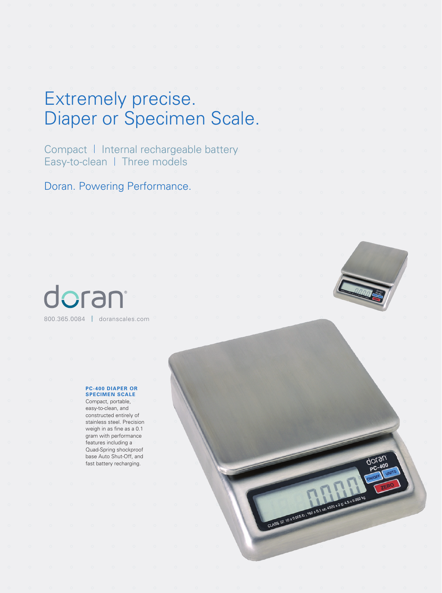### Extremely precise. Diaper or Specimen Scale.

Compact | Internal rechargeable battery Easy-to-clean | Three models

Doran. Powering Performance.

# dorant 800.365.0084 | doranscales.com



doran

CLASS III 1070009 B : 160 TO 1 021 4500 X 2 8: A 5 x 0 502 14

#### **PC-400 DIAPER OR SPECIMEN SCALE**

Compact, portable, easy-to-clean, and constructed entirely of stainless steel. Precision weigh in as fine as a 0.1 gram with performance features including a Quad-Spring shockproof base Auto Shut-Off, and fast battery recharging.